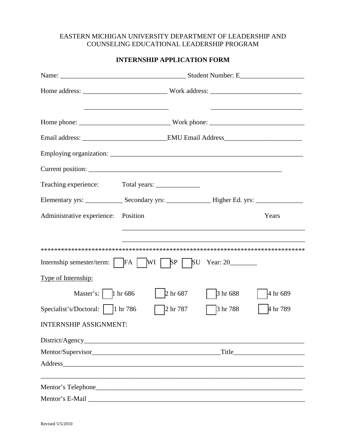### EASTERN MICHIGAN UNIVERSITY DEPARTMENT OF LEADERSHIP AND COUNSELING EDUCATIONAL LEADERSHIP PROGRAM

## **INTERNSHIP APPLICATION FORM**

| Teaching experience:          |                                                                                                                                                                                                                                |          |          |
|-------------------------------|--------------------------------------------------------------------------------------------------------------------------------------------------------------------------------------------------------------------------------|----------|----------|
|                               |                                                                                                                                                                                                                                |          |          |
| Administrative experience:    | Position                                                                                                                                                                                                                       |          | Years    |
|                               |                                                                                                                                                                                                                                |          |          |
|                               |                                                                                                                                                                                                                                |          |          |
|                               |                                                                                                                                                                                                                                |          |          |
| Type of Internship:           |                                                                                                                                                                                                                                |          |          |
| Master's: $\vert$ 1 hr 686    | 2 hr 687                                                                                                                                                                                                                       | 3 hr 688 | 4 hr 689 |
|                               | 2 hr 787                                                                                                                                                                                                                       | 3 hr 788 | 4 hr 789 |
| <b>INTERNSHIP ASSIGNMENT:</b> |                                                                                                                                                                                                                                |          |          |
|                               |                                                                                                                                                                                                                                |          |          |
|                               |                                                                                                                                                                                                                                |          |          |
|                               | Address and the contract of the contract of the contract of the contract of the contract of the contract of the contract of the contract of the contract of the contract of the contract of the contract of the contract of th |          |          |
|                               |                                                                                                                                                                                                                                |          |          |
|                               |                                                                                                                                                                                                                                |          |          |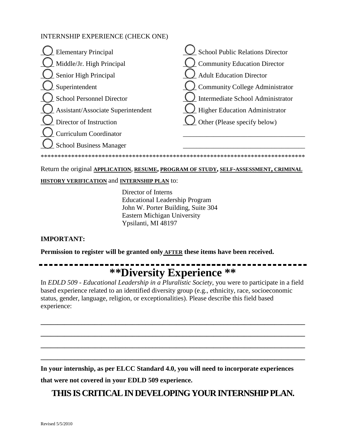### INTERNSHIP EXPERIENCE (CHECK ONE)

| <b>Elementary Principal</b>        | <b>School Public Relations Director</b> |
|------------------------------------|-----------------------------------------|
| Middle/Jr. High Principal          | <b>Community Education Director</b>     |
| Senior High Principal              | <b>Adult Education Director</b>         |
| Superintendent                     | <b>Community College Administrator</b>  |
| <b>School Personnel Director</b>   | Intermediate School Administrator       |
| Assistant/Associate Superintendent | <b>Higher Education Administrator</b>   |
| Director of Instruction            | Other (Please specify below)            |
| <b>Curriculum Coordinator</b>      |                                         |
| <b>School Business Manager</b>     |                                         |
| ********************************** |                                         |

#### Return the original **APPLICATION**, **RESUME, PROGRAM OF STUDY, SELF-ASSESSMENT, CRIMINAL**

#### **HISTORY VERIFICATION** and **INTERNSHIP PLAN** to:

Director of Interns Educational Leadership Program John W. Porter Building, Suite 304 Eastern Michigan University Ypsilanti, MI 48197

### **IMPORTANT:**

**Permission to register will be granted only AFTER these items have been received.**

# **\*\*Diversity Experience \*\***

. . . . . . . . . . . . .

In *EDLD 509 - Educational Leadership in a Pluralistic Society*, you were to participate in a field based experience related to an identified diversity group (e.g., ethnicity, race, socioeconomic status, gender, language, religion, or exceptionalities). Please describe this field based experience:

**\_\_\_\_\_\_\_\_\_\_\_\_\_\_\_\_\_\_\_\_\_\_\_\_\_\_\_\_\_\_\_\_\_\_\_\_\_\_\_\_\_\_\_\_\_\_\_\_\_\_\_\_\_\_\_\_\_\_\_\_\_\_\_\_\_\_\_\_\_\_\_\_\_\_\_\_\_\_**

**\_\_\_\_\_\_\_\_\_\_\_\_\_\_\_\_\_\_\_\_\_\_\_\_\_\_\_\_\_\_\_\_\_\_\_\_\_\_\_\_\_\_\_\_\_\_\_\_\_\_\_\_\_\_\_\_\_\_\_\_\_\_\_\_\_\_\_\_\_\_\_\_\_\_\_\_\_\_**

**\_\_\_\_\_\_\_\_\_\_\_\_\_\_\_\_\_\_\_\_\_\_\_\_\_\_\_\_\_\_\_\_\_\_\_\_\_\_\_\_\_\_\_\_\_\_\_\_\_\_\_\_\_\_\_\_\_\_\_\_\_\_\_\_\_\_\_\_\_\_\_\_\_\_\_\_\_\_**

**\_\_\_\_\_\_\_\_\_\_\_\_\_\_\_\_\_\_\_\_\_\_\_\_\_\_\_\_\_\_\_\_\_\_\_\_\_\_\_\_\_\_\_\_\_\_\_\_\_\_\_\_\_\_\_\_\_\_\_\_\_\_\_\_\_\_\_\_\_\_\_\_\_\_\_\_\_\_** 

**In your internship, as per ELCC Standard 4.0, you will need to incorporate experiences** 

**that were not covered in your EDLD 509 experience.** 

# **THIS IS CRITICALIN DEVELOPING YOUR INTERNSHIP PLAN.**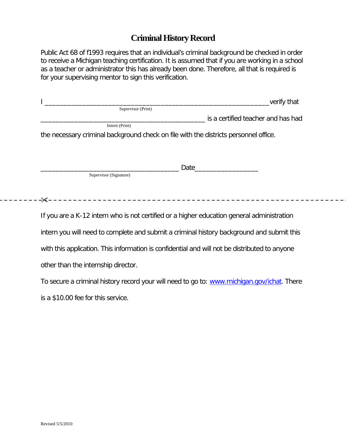# **Criminal History Record**

Public Act 68 of f1993 requires that an individual's criminal background be checked in order to receive a Michigan teaching certification. It is assumed that if you are working in a school as a teacher or administrator this has already been done. Therefore, all that is required is for your supervising mentor to sign this verification.

| verify that                                                                          |
|--------------------------------------------------------------------------------------|
| Supervisor (Print)                                                                   |
| is a certified teacher and has had                                                   |
| Intern (Print)                                                                       |
| the necessary criminal background check on file with the districts personnel office. |
|                                                                                      |
|                                                                                      |
|                                                                                      |
| Date                                                                                 |
| Supervisor (Signature)                                                               |
|                                                                                      |
|                                                                                      |
| -≻∕                                                                                  |

If you are a K-12 intern who is not certified or a higher education general administration intern you will need to complete and submit a criminal history background and submit this with this application. This information is confidential and will not be distributed to anyone

other than the internship director.

To secure a criminal history record your will need to go to: [www.michigan.gov/ichat.](http://www.michigan.gov/ichat) There is a \$10.00 fee for this service.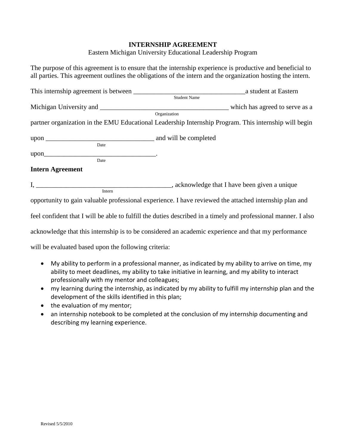#### **INTERNSHIP AGREEMENT**

Eastern Michigan University Educational Leadership Program

The purpose of this agreement is to ensure that the internship experience is productive and beneficial to all parties. This agreement outlines the obligations of the intern and the organization hosting the intern.

|                                                      | Organization                                                                                                   |
|------------------------------------------------------|----------------------------------------------------------------------------------------------------------------|
|                                                      | partner organization in the EMU Educational Leadership Internship Program. This internship will begin          |
|                                                      |                                                                                                                |
|                                                      |                                                                                                                |
| upon                                                 |                                                                                                                |
| Date                                                 |                                                                                                                |
| <b>Intern Agreement</b>                              |                                                                                                                |
|                                                      |                                                                                                                |
| Intern                                               |                                                                                                                |
|                                                      | opportunity to gain valuable professional experience. I have reviewed the attached internship plan and         |
|                                                      | feel confident that I will be able to fulfill the duties described in a timely and professional manner. I also |
|                                                      | acknowledge that this internship is to be considered an academic experience and that my performance            |
| will be evaluated based upon the following criteria: |                                                                                                                |
|                                                      | My ability to perform in a professional manner, as indicated by my ability to arrive on time, my               |

- My ability to perform in a professional manner, as indicated by my ability to arrive on time, my ability to meet deadlines, my ability to take initiative in learning, and my ability to interact professionally with my mentor and colleagues;
- my learning during the internship, as indicated by my ability to fulfill my internship plan and the development of the skills identified in this plan;
- the evaluation of my mentor;
- an internship notebook to be completed at the conclusion of my internship documenting and describing my learning experience.